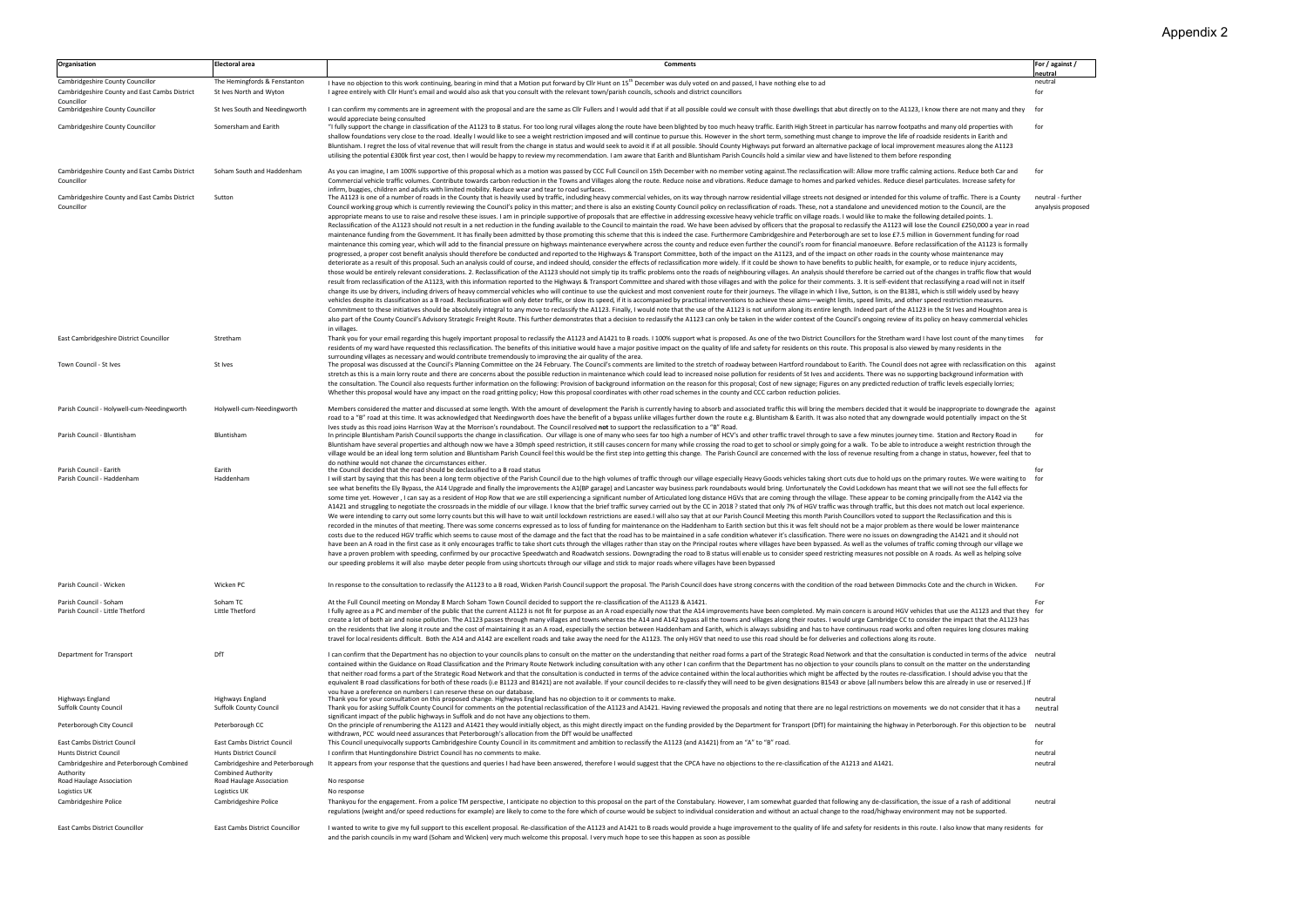| Organisation                                                       | <b>Electoral area</b>                                     | Comments                                                                                                                                                                                                                                                                                                                                                                                                                                                                                                                                                                                                                                                                                                                                                                                                                                                                                                                                                                                                                                                                                                                                                                                                                                                                                                                                                                                                                                                                                                                                                                                                                                                                                                                                                                                                                                                                                                                                                                                                                                                                                                                                                                                                                                                                                                                                                                                                                                                                                                                                                                                                                                                                                                                                                                                                                                                                                                                                                                                                                                                                                                                                                                                                                                                                                                                                                                                                     | For / against /                         |
|--------------------------------------------------------------------|-----------------------------------------------------------|--------------------------------------------------------------------------------------------------------------------------------------------------------------------------------------------------------------------------------------------------------------------------------------------------------------------------------------------------------------------------------------------------------------------------------------------------------------------------------------------------------------------------------------------------------------------------------------------------------------------------------------------------------------------------------------------------------------------------------------------------------------------------------------------------------------------------------------------------------------------------------------------------------------------------------------------------------------------------------------------------------------------------------------------------------------------------------------------------------------------------------------------------------------------------------------------------------------------------------------------------------------------------------------------------------------------------------------------------------------------------------------------------------------------------------------------------------------------------------------------------------------------------------------------------------------------------------------------------------------------------------------------------------------------------------------------------------------------------------------------------------------------------------------------------------------------------------------------------------------------------------------------------------------------------------------------------------------------------------------------------------------------------------------------------------------------------------------------------------------------------------------------------------------------------------------------------------------------------------------------------------------------------------------------------------------------------------------------------------------------------------------------------------------------------------------------------------------------------------------------------------------------------------------------------------------------------------------------------------------------------------------------------------------------------------------------------------------------------------------------------------------------------------------------------------------------------------------------------------------------------------------------------------------------------------------------------------------------------------------------------------------------------------------------------------------------------------------------------------------------------------------------------------------------------------------------------------------------------------------------------------------------------------------------------------------------------------------------------------------------------------------------------------------|-----------------------------------------|
| Cambridgeshire County Councillor                                   | The Hemingfords & Fenstanton                              | I have no objection to this work continuing, bearing in mind that a Motion put forward by ClIr Hunt on 15 <sup>th</sup> December was duly voted on and passed, I have nothing else to ad                                                                                                                                                                                                                                                                                                                                                                                                                                                                                                                                                                                                                                                                                                                                                                                                                                                                                                                                                                                                                                                                                                                                                                                                                                                                                                                                                                                                                                                                                                                                                                                                                                                                                                                                                                                                                                                                                                                                                                                                                                                                                                                                                                                                                                                                                                                                                                                                                                                                                                                                                                                                                                                                                                                                                                                                                                                                                                                                                                                                                                                                                                                                                                                                                     | <u>neutral</u><br>neutral               |
| Cambridgeshire County and East Cambs District<br>Councillor        | St Ives North and Wyton                                   | I agree entirely with ClIr Hunt's email and would also ask that you consult with the relevant town/parish councils, schools and district councillors                                                                                                                                                                                                                                                                                                                                                                                                                                                                                                                                                                                                                                                                                                                                                                                                                                                                                                                                                                                                                                                                                                                                                                                                                                                                                                                                                                                                                                                                                                                                                                                                                                                                                                                                                                                                                                                                                                                                                                                                                                                                                                                                                                                                                                                                                                                                                                                                                                                                                                                                                                                                                                                                                                                                                                                                                                                                                                                                                                                                                                                                                                                                                                                                                                                         | for                                     |
| Cambridgeshire County Councillor                                   | St Ives South and Needingworth                            | I can confirm my comments are in agreement with the proposal and are the same as ClIr Fullers and I would add that if at all possible could we consult with those dwellings that abut directly on to the A1123, I know there a<br>would appreciate being consulted                                                                                                                                                                                                                                                                                                                                                                                                                                                                                                                                                                                                                                                                                                                                                                                                                                                                                                                                                                                                                                                                                                                                                                                                                                                                                                                                                                                                                                                                                                                                                                                                                                                                                                                                                                                                                                                                                                                                                                                                                                                                                                                                                                                                                                                                                                                                                                                                                                                                                                                                                                                                                                                                                                                                                                                                                                                                                                                                                                                                                                                                                                                                           | for                                     |
| Cambridgeshire County Councillor                                   | Somersham and Earith                                      | "I fully support the change in classification of the A1123 to B status. For too long rural villages along the route have been blighted by too much heavy traffic. Earith High Street in particular has narrow footpaths and ma<br>shallow foundations very close to the road. Ideally I would like to see a weight restriction imposed and will continue to pursue this. However in the short term, something must change to improve the life of roadside reside<br>Bluntisham. I regret the loss of vital revenue that will result from the change in status and would seek to avoid it if at all possible. Should County Highways put forward an alternative package of local improvement measur<br>utilising the potential £300k first year cost, then I would be happy to review my recommendation. I am aware that Earith and Bluntisham Parish Councils hold a similar view and have listened to them before responding                                                                                                                                                                                                                                                                                                                                                                                                                                                                                                                                                                                                                                                                                                                                                                                                                                                                                                                                                                                                                                                                                                                                                                                                                                                                                                                                                                                                                                                                                                                                                                                                                                                                                                                                                                                                                                                                                                                                                                                                                                                                                                                                                                                                                                                                                                                                                                                                                                                                                | for                                     |
| Cambridgeshire County and East Cambs District<br>Councillor        | Soham South and Haddenham                                 | As you can imagine, I am 100% supportive of this proposal which as a motion was passed by CCC Full Council on 15th December with no member voting against. The reclassification will: Allow more traffic calming actions. Redu<br>Commercial vehicle traffic volumes. Contribute towards carbon reduction in the Towns and Villages along the route. Reduce noise and vibrations. Reduce damage to homes and parked vehicles. Reduce diesel particulates. Increa                                                                                                                                                                                                                                                                                                                                                                                                                                                                                                                                                                                                                                                                                                                                                                                                                                                                                                                                                                                                                                                                                                                                                                                                                                                                                                                                                                                                                                                                                                                                                                                                                                                                                                                                                                                                                                                                                                                                                                                                                                                                                                                                                                                                                                                                                                                                                                                                                                                                                                                                                                                                                                                                                                                                                                                                                                                                                                                                             | for                                     |
| Cambridgeshire County and East Cambs District<br>Councillor        | Sutton                                                    | infirm, buggies, children and adults with limited mobility. Reduce wear and tear to road surfaces.<br>The A1123 is one of a number of roads in the County that is heavily used by traffic, including heavy commercial vehicles, on its way through narrow residential village streets not designed or intended for this volume of tr<br>Council working group which is currently reviewing the Council's policy in this matter; and there is also an existing County Council policy on reclassification of roads. These, not a standalone and unevidenced motion to th<br>appropriate means to use to raise and resolve these issues. I am in principle supportive of proposals that are effective in addressing excessive heavy vehicle traffic on village roads. I would like to make the following de<br>Reclassification of the A1123 should not result in a net reduction in the funding available to the Council to maintain the road. We have been advised by officers that the proposal to reclassify the A1123 will lose the Coun<br>maintenance funding from the Government. It has finally been admitted by those promoting this scheme that this is indeed the case. Furthermore Cambridgeshire and Peterborough are set to lose £7.5 million in Government fund<br>maintenance this coming year, which will add to the financial pressure on highways maintenance everywhere across the county and reduce even further the council's room for financial manoeuvre. Before reclassification of the<br>progressed, a proper cost benefit analysis should therefore be conducted and reported to the Highways & Transport Committee, both of the impact on the A1123, and of the impact on other roads in the county whose maintenance<br>deteriorate as a result of this proposal. Such an analysis could of course, and indeed should, consider the effects of reclassification more widely. If it could be shown to have benefits to public health, for example, or t<br>those would be entirely relevant considerations. 2. Reclassification of the A1123 should not simply tip its traffic problems onto the roads of neighbouring villages. An analysis should therefore be carried out of the chang<br>result from reclassification of the A1123, with this information reported to the Highways & Transport Committee and shared with those villages and with the police for their comments. 3. It is self-evident that reclassifyin<br>change its use by drivers, including drivers of heavy commercial vehicles who will continue to use the quickest and most convenient route for their journeys. The village in which I live, Sutton, is on the B1381, which is s<br>vehicles despite its classification as a B road. Reclassification will only deter traffic, or slow its speed, if it is accompanied by practical interventions to achieve these aims—weight limits, speed limits, and other spe<br>Commitment to these initiatives should be absolutely integral to any move to reclassify the A1123. Finally, I would note that the use of the A1123 is not uniform along its entire length. Indeed part of the A1123 in the St<br>also part of the County Council's Advisory Strategic Freight Route. This further demonstrates that a decision to reclassify the A1123 can only be taken in the wider context of the Council's ongoing review of its policy on<br>in villages. | neutral - further<br>anyalysis proposed |
| East Cambridgeshire District Councillor                            | Stretham                                                  | Thank you for your email regarding this hugely important proposal to reclassify the A1123 and A1421 to B roads. I 100% support what is proposed. As one of the two District Councillors for the Stretham ward I have lost coun<br>residents of my ward have requested this reclassification. The benefits of this initiative would have a major positive impact on the quality of life and safety for residents on this route. This proposal is also viewed by m<br>surrounding villages as necessary and would contribute tremendously to improving the air quality of the area.                                                                                                                                                                                                                                                                                                                                                                                                                                                                                                                                                                                                                                                                                                                                                                                                                                                                                                                                                                                                                                                                                                                                                                                                                                                                                                                                                                                                                                                                                                                                                                                                                                                                                                                                                                                                                                                                                                                                                                                                                                                                                                                                                                                                                                                                                                                                                                                                                                                                                                                                                                                                                                                                                                                                                                                                                            | for                                     |
| Town Council - St Ives                                             | St Ives                                                   | The proposal was discussed at the Council's Planning Committee on the 24 February. The Council's comments are limited to the stretch of roadway between Hartford roundabout to Earith. The Council does not agree with reclass<br>stretch as this is a main lorry route and there are concerns about the possible reduction in maintenance which could lead to increased noise pollution for residents of St Ives and accidents. There was no supporting backgro<br>the consultation. The Council also requests further information on the following: Provision of background information on the reason for this proposal; Cost of new signage; Figures on any predicted reduction of traffic leve<br>Whether this proposal would have any impact on the road gritting policy; How this proposal coordinates with other road schemes in the county and CCC carbon reduction policies.                                                                                                                                                                                                                                                                                                                                                                                                                                                                                                                                                                                                                                                                                                                                                                                                                                                                                                                                                                                                                                                                                                                                                                                                                                                                                                                                                                                                                                                                                                                                                                                                                                                                                                                                                                                                                                                                                                                                                                                                                                                                                                                                                                                                                                                                                                                                                                                                                                                                                                                        |                                         |
| Parish Council - Holywell-cum-Needingworth                         | Holywell-cum-Needingworth                                 | Members considered the matter and discussed at some length. With the amount of development the Parish is currently having to absorb and associated traffic this will bring the members decided that it would be inappropriate<br>road to a "B" road at this time. It was acknowledged that Needingworth does have the benefit of a bypass unlike villages further down the route e.g. Bluntisham & Earith. It was also noted that any downgrade would potential                                                                                                                                                                                                                                                                                                                                                                                                                                                                                                                                                                                                                                                                                                                                                                                                                                                                                                                                                                                                                                                                                                                                                                                                                                                                                                                                                                                                                                                                                                                                                                                                                                                                                                                                                                                                                                                                                                                                                                                                                                                                                                                                                                                                                                                                                                                                                                                                                                                                                                                                                                                                                                                                                                                                                                                                                                                                                                                                              |                                         |
| Parish Council - Bluntisham                                        | Bluntisham                                                | Ives study as this road ioins Harrison Way at the Morrison's roundabout. The Council resolved not to support the reclassification to a "B" Road.<br>In principle Bluntisham Parish Council supports the change in classification. Our village is one of many who sees far too high a number of HCV's and other traffic travel through to save a few minutes journey time. Station<br>Bluntisham have several properties and although now we have a 30mph speed restriction, it still causes concern for many while crossing the road to get to school or simply going for a walk. To be able to introduce a weight<br>village would be an ideal long term solution and Bluntisham Parish Council feel this would be the first step into getting this change. The Parish Council are concerned with the loss of revenue resulting from a change in st<br>do nothing would not change the circumstances either.                                                                                                                                                                                                                                                                                                                                                                                                                                                                                                                                                                                                                                                                                                                                                                                                                                                                                                                                                                                                                                                                                                                                                                                                                                                                                                                                                                                                                                                                                                                                                                                                                                                                                                                                                                                                                                                                                                                                                                                                                                                                                                                                                                                                                                                                                                                                                                                                                                                                                                | for                                     |
| Parish Council - Earith<br>Parish Council - Haddenham              | Earith<br>Haddenham                                       | the Council decided that the road should be declassified to a B road status<br>I will start by saying that this has been a long term objective of the Parish Council due to the high volumes of traffic through our village especially Heavy Goods vehicles taking short cuts due to hold ups on the primary<br>see what benefits the Ely Bypass, the A14 Upgrade and finally the improvements the A1(BP garage) and Lancaster way business park roundabouts would bring. Unfortunately the Covid Lockdown has meant that we will not see the<br>some time yet. However, I can say as a resident of Hop Row that we are still experiencing a significant number of Articulated long distance HGVs that are coming through the village. These appear to be coming principally fr<br>A1421 and struggling to negotiate the crossroads in the middle of our village. I know that the brief traffic survey carried out by the CC in 2018? stated that only 7% of HGV traffic was through traffic, but this does not m<br>We were intending to carry out some lorry counts but this will have to wait until lockdown restrictions are eased. I will also say that at our Parish Council Meeting this month Parish Councillors voted to support the Recla<br>recorded in the minutes of that meeting. There was some concerns expressed as to loss of funding for maintenance on the Haddenham to Earith section but this it was felt should not be a major problem as there would be lower<br>costs due to the reduced HGV traffic which seems to cause most of the damage and the fact that the road has to be maintained in a safe condition whatever it's classification. There were no issues on downgrading the A1421 a<br>have been an A road in the first case as it only encourages traffic to take short cuts through the villages rather than stay on the Principal routes where villages have been bypassed. As well as the volumes of traffic comi<br>have a proven problem with speeding, confirmed by our procactive Speedwatch and Roadwatch sessions. Downgrading the road to B status will enable us to consider speed restricting measures not possible on A roads. As well as<br>our speeding problems it will also maybe deter people from using shortcuts through our village and stick to major roads where villages have been bypassed                                                                                                                                                                                                                                                                                                                                                                                                                                                                                                                                                                                                                                                                                                                                                                                                                                                                                                                                                                                                                                                     | for<br>for                              |
| Parish Council - Wicken                                            | Wicken PC                                                 | In response to the consultation to reclassify the A1123 to a B road, Wicken Parish Council support the proposal. The Parish Council does have strong concerns with the condition of the road between Dimmocks Cote and the chu                                                                                                                                                                                                                                                                                                                                                                                                                                                                                                                                                                                                                                                                                                                                                                                                                                                                                                                                                                                                                                                                                                                                                                                                                                                                                                                                                                                                                                                                                                                                                                                                                                                                                                                                                                                                                                                                                                                                                                                                                                                                                                                                                                                                                                                                                                                                                                                                                                                                                                                                                                                                                                                                                                                                                                                                                                                                                                                                                                                                                                                                                                                                                                               | For                                     |
| Parish Council - Soham<br>Parish Council - Little Thetford         | Soham TC<br>Little Thetford                               | At the Full Council meeting on Monday 8 March Soham Town Council decided to support the re-classification of the A1123 & A1421.<br>I fully agree as a PC and member of the public that the current A1123 is not fit for purpose as an A road especially now that the A14 improvements have been completed. My main concern is around HGV vehicles that use the A1<br>create a lot of both air and noise pollution. The A1123 passes through many villages and towns whereas the A14 and A142 bypass all the towns and villages along their routes. I would urge Cambridge CC to consider the impact<br>on the residents that live along it route and the cost of maintaining it as an A road, especially the section between Haddenham and Earith, which is always subsiding and has to have continuous road works and often requires<br>travel for local residents difficult. Both the A14 and A142 are excellent roads and take away the need for the A1123. The only HGV that need to use this road should be for deliveries and collections along its route.                                                                                                                                                                                                                                                                                                                                                                                                                                                                                                                                                                                                                                                                                                                                                                                                                                                                                                                                                                                                                                                                                                                                                                                                                                                                                                                                                                                                                                                                                                                                                                                                                                                                                                                                                                                                                                                                                                                                                                                                                                                                                                                                                                                                                                                                                                                                             | For                                     |
| Department for Transport                                           | DfT                                                       | I can confirm that the Department has no objection to your councils plans to consult on the matter on the understanding that neither road forms a part of the Strategic Road Network and that the consultation is conducted in<br>contained within the Guidance on Road Classification and the Primary Route Network including consultation with any other I can confirm that the Department has no objection to your councils plans to consult on the matter on<br>that neither road forms a part of the Strategic Road Network and that the consultation is conducted in terms of the advice contained within the local authorities which might be affected by the routes re-classification. I s<br>equivalent B road classifications for both of these roads (i.e B1123 and B1421) are not available. If your council decides to re-classify they will need to be given designations B1543 or above (all numbers below this are a<br>vou have a preference on numbers Lcan reserve these on our database                                                                                                                                                                                                                                                                                                                                                                                                                                                                                                                                                                                                                                                                                                                                                                                                                                                                                                                                                                                                                                                                                                                                                                                                                                                                                                                                                                                                                                                                                                                                                                                                                                                                                                                                                                                                                                                                                                                                                                                                                                                                                                                                                                                                                                                                                                                                                                                                  |                                         |
| Highways England<br><b>Suffolk County Council</b>                  | Highways England<br><b>Suffolk County Council</b>         | Thank you for your consultation on this proposed change. Highways England has no objection to it or comments to make.<br>Thank you for asking Suffolk County Council for comments on the potential reclassification of the A1123 and A1421. Having reviewed the proposals and noting that there are no legal restrictions on movements we do not consid                                                                                                                                                                                                                                                                                                                                                                                                                                                                                                                                                                                                                                                                                                                                                                                                                                                                                                                                                                                                                                                                                                                                                                                                                                                                                                                                                                                                                                                                                                                                                                                                                                                                                                                                                                                                                                                                                                                                                                                                                                                                                                                                                                                                                                                                                                                                                                                                                                                                                                                                                                                                                                                                                                                                                                                                                                                                                                                                                                                                                                                      | neutral<br>neutral                      |
| Peterborough City Council                                          | Peterborough CC                                           | significant impact of the public highways in Suffolk and do not have any objections to them.<br>On the principle of renumbering the A1123 and A1421 they would initially object, as this might directly impact on the funding provided by the Department for Transport (DfT) for maintaining the highway in Peterborough. For<br>withdrawn, PCC would need assurances that Peterborough's allocation from the DfT would be unaffected                                                                                                                                                                                                                                                                                                                                                                                                                                                                                                                                                                                                                                                                                                                                                                                                                                                                                                                                                                                                                                                                                                                                                                                                                                                                                                                                                                                                                                                                                                                                                                                                                                                                                                                                                                                                                                                                                                                                                                                                                                                                                                                                                                                                                                                                                                                                                                                                                                                                                                                                                                                                                                                                                                                                                                                                                                                                                                                                                                        | neutral                                 |
| East Cambs District Council                                        | East Cambs District Council                               | This Council unequivocally supports Cambridgeshire County Council in its commitment and ambition to reclassify the A1123 (and A1421) from an "A" to "B" road.                                                                                                                                                                                                                                                                                                                                                                                                                                                                                                                                                                                                                                                                                                                                                                                                                                                                                                                                                                                                                                                                                                                                                                                                                                                                                                                                                                                                                                                                                                                                                                                                                                                                                                                                                                                                                                                                                                                                                                                                                                                                                                                                                                                                                                                                                                                                                                                                                                                                                                                                                                                                                                                                                                                                                                                                                                                                                                                                                                                                                                                                                                                                                                                                                                                | for                                     |
| Hunts District Council<br>Cambridgeshire and Peterborough Combined | Hunts District Council<br>Cambridgeshire and Peterborough | I confirm that Huntingdonshire District Council has no comments to make.<br>It appears from your response that the questions and queries I had have been answered, therefore I would suggest that the CPCA have no objections to the re-classification of the A1213 and A1421.                                                                                                                                                                                                                                                                                                                                                                                                                                                                                                                                                                                                                                                                                                                                                                                                                                                                                                                                                                                                                                                                                                                                                                                                                                                                                                                                                                                                                                                                                                                                                                                                                                                                                                                                                                                                                                                                                                                                                                                                                                                                                                                                                                                                                                                                                                                                                                                                                                                                                                                                                                                                                                                                                                                                                                                                                                                                                                                                                                                                                                                                                                                               | neutral<br>neutral                      |
| Authority                                                          | <b>Combined Authority</b>                                 |                                                                                                                                                                                                                                                                                                                                                                                                                                                                                                                                                                                                                                                                                                                                                                                                                                                                                                                                                                                                                                                                                                                                                                                                                                                                                                                                                                                                                                                                                                                                                                                                                                                                                                                                                                                                                                                                                                                                                                                                                                                                                                                                                                                                                                                                                                                                                                                                                                                                                                                                                                                                                                                                                                                                                                                                                                                                                                                                                                                                                                                                                                                                                                                                                                                                                                                                                                                                              |                                         |
| Road Haulage Association<br>Logistics UK                           | Road Haulage Association<br>Logistics UK                  | No response<br>No response                                                                                                                                                                                                                                                                                                                                                                                                                                                                                                                                                                                                                                                                                                                                                                                                                                                                                                                                                                                                                                                                                                                                                                                                                                                                                                                                                                                                                                                                                                                                                                                                                                                                                                                                                                                                                                                                                                                                                                                                                                                                                                                                                                                                                                                                                                                                                                                                                                                                                                                                                                                                                                                                                                                                                                                                                                                                                                                                                                                                                                                                                                                                                                                                                                                                                                                                                                                   |                                         |
| Cambridgeshire Police                                              | Cambridgeshire Police                                     | Thankyou for the engagement. From a police TM perspective, I anticipate no objection to this proposal on the part of the Constabulary. However, I am somewhat guarded that following any de-classification, the issue of a ras<br>regulations (weight and/or speed reductions for example) are likely to come to the fore which of course would be subject to individual consideration and without an actual change to the road/highway environment may not be s                                                                                                                                                                                                                                                                                                                                                                                                                                                                                                                                                                                                                                                                                                                                                                                                                                                                                                                                                                                                                                                                                                                                                                                                                                                                                                                                                                                                                                                                                                                                                                                                                                                                                                                                                                                                                                                                                                                                                                                                                                                                                                                                                                                                                                                                                                                                                                                                                                                                                                                                                                                                                                                                                                                                                                                                                                                                                                                                             | neutral                                 |
| East Cambs District Councillor                                     | East Cambs District Councillor                            | I wanted to write to give my full support to this excellent proposal. Re-classification of the A1123 and A1421 to B roads would provide a huge improvement to the quality of life and safety for residents in this route. I al<br>and the parish councils in my ward (Soham and Wicken) very much welcome this proposal. I very much hope to see this happen as soon as possible                                                                                                                                                                                                                                                                                                                                                                                                                                                                                                                                                                                                                                                                                                                                                                                                                                                                                                                                                                                                                                                                                                                                                                                                                                                                                                                                                                                                                                                                                                                                                                                                                                                                                                                                                                                                                                                                                                                                                                                                                                                                                                                                                                                                                                                                                                                                                                                                                                                                                                                                                                                                                                                                                                                                                                                                                                                                                                                                                                                                                             |                                         |

## Appendix 2